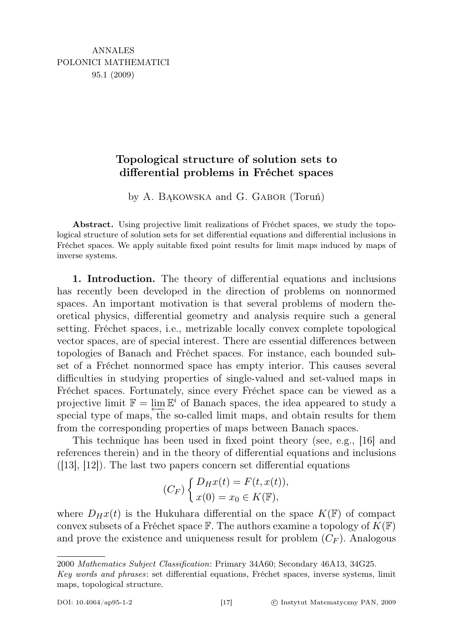## Topological structure of solution sets to differential problems in Fréchet spaces

by A. Bąkowska and G. Gabor (Toruń)

Abstract. Using projective limit realizations of Fréchet spaces, we study the topological structure of solution sets for set differential equations and differential inclusions in Fréchet spaces. We apply suitable fixed point results for limit maps induced by maps of inverse systems.

1. Introduction. The theory of differential equations and inclusions has recently been developed in the direction of problems on nonnormed spaces. An important motivation is that several problems of modern theoretical physics, differential geometry and analysis require such a general setting. Fréchet spaces, i.e., metrizable locally convex complete topological vector spaces, are of special interest. There are essential differences between topologies of Banach and Fréchet spaces. For instance, each bounded subset of a Fréchet nonnormed space has empty interior. This causes several difficulties in studying properties of single-valued and set-valued maps in Fréchet spaces. Fortunately, since every Fréchet space can be viewed as a projective limit  $\mathbb{F} = \varprojlim \mathbb{E}^i$  of Banach spaces, the idea appeared to study a special type of maps, the so-called limit maps, and obtain results for them from the corresponding properties of maps between Banach spaces.

This technique has been used in fixed point theory (see, e.g., [16] and references therein) and in the theory of differential equations and inclusions  $([13], [12])$ . The last two papers concern set differential equations

$$
(C_F)\begin{cases} D_Hx(t) = F(t, x(t)),\\ x(0) = x_0 \in K(\mathbb{F}), \end{cases}
$$

where  $D_Hx(t)$  is the Hukuhara differential on the space  $K(\mathbb{F})$  of compact convex subsets of a Fréchet space  $\mathbb F$ . The authors examine a topology of  $K(\mathbb F)$ and prove the existence and uniqueness result for problem  $(C_F)$ . Analogous

2000 Mathematics Subject Classification: Primary 34A60; Secondary 46A13, 34G25.

Key words and phrases: set differential equations, Fréchet spaces, inverse systems, limit maps, topological structure.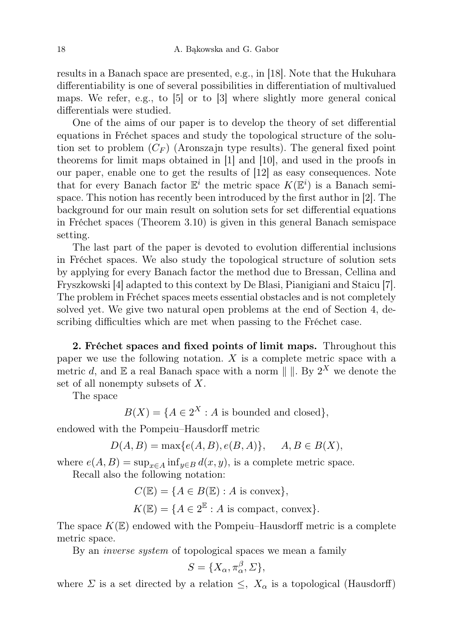results in a Banach space are presented, e.g., in [18]. Note that the Hukuhara differentiability is one of several possibilities in differentiation of multivalued maps. We refer, e.g., to [5] or to [3] where slightly more general conical differentials were studied.

One of the aims of our paper is to develop the theory of set differential equations in Fréchet spaces and study the topological structure of the solution set to problem  $(C_F)$  (Aronszajn type results). The general fixed point theorems for limit maps obtained in [1] and [10], and used in the proofs in our paper, enable one to get the results of [12] as easy consequences. Note that for every Banach factor  $\mathbb{E}^i$  the metric space  $K(\mathbb{E}^i)$  is a Banach semispace. This notion has recently been introduced by the first author in [2]. The background for our main result on solution sets for set differential equations in Fréchet spaces (Theorem 3.10) is given in this general Banach semispace setting.

The last part of the paper is devoted to evolution differential inclusions in Fréchet spaces. We also study the topological structure of solution sets by applying for every Banach factor the method due to Bressan, Cellina and Fryszkowski [4] adapted to this context by De Blasi, Pianigiani and Staicu [7]. The problem in Fréchet spaces meets essential obstacles and is not completely solved yet. We give two natural open problems at the end of Section 4, describing difficulties which are met when passing to the Fréchet case.

2. Fréchet spaces and fixed points of limit maps. Throughout this paper we use the following notation.  $X$  is a complete metric space with a metric d, and  $\mathbb E$  a real Banach space with a norm  $\| \cdot \|$ . By  $2^X$  we denote the set of all nonempty subsets of X.

The space

 $B(X) = \{A \in 2^X : A \text{ is bounded and closed}\},\$ 

endowed with the Pompeiu–Hausdorff metric

 $D(A, B) = \max\{e(A, B), e(B, A)\}, \quad A, B \in B(X),$ 

where  $e(A, B) = \sup_{x \in A} \inf_{y \in B} d(x, y)$ , is a complete metric space.

Recall also the following notation:

$$
C(\mathbb{E}) = \{ A \in B(\mathbb{E}) : A \text{ is convex} \},
$$
  

$$
K(\mathbb{E}) = \{ A \in 2^{\mathbb{E}} : A \text{ is compact, convex} \}.
$$

The space  $K(\mathbb{E})$  endowed with the Pompeiu–Hausdorff metric is a complete metric space.

By an *inverse system* of topological spaces we mean a family

$$
S = \{X_{\alpha}, \pi_{\alpha}^{\beta}, \Sigma\},\
$$

where  $\Sigma$  is a set directed by a relation  $\leq$ ,  $X_{\alpha}$  is a topological (Hausdorff)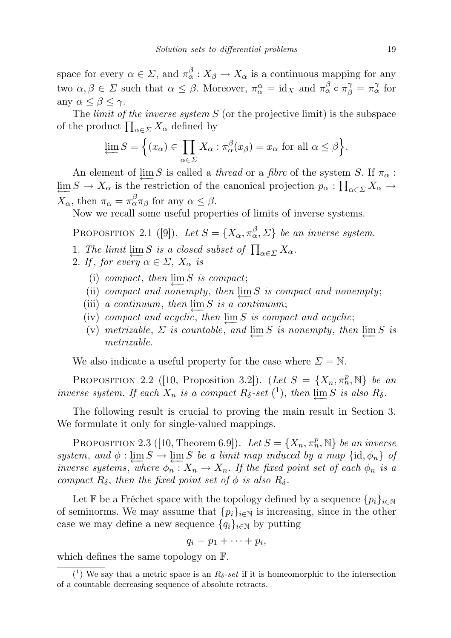space for every  $\alpha \in \Sigma$ , and  $\pi_{\alpha}^{\beta}: X_{\beta} \to X_{\alpha}$  is a continuous mapping for any two  $\alpha, \beta \in \Sigma$  such that  $\alpha \leq \beta$ . Moreover,  $\pi_{\alpha}^{\alpha} = id_X$  and  $\pi_{\alpha}^{\beta} \circ \pi_{\beta}^{\gamma} = \pi_{\alpha}^{\gamma}$  for any  $\alpha \leq \beta \leq \gamma$ .

The *limit of the inverse system*  $S$  (or the projective limit) is the subspace of the product  $\prod_{\alpha \in \Sigma} X_{\alpha}$  defined by

$$
\varprojlim S = \Big\{ (x_{\alpha}) \in \prod_{\alpha \in \Sigma} X_{\alpha} : \pi_{\alpha}^{\beta}(x_{\beta}) = x_{\alpha} \text{ for all } \alpha \leq \beta \Big\}.
$$

An element of  $\varprojlim S$  is called a *thread* or a *fibre* of the system S. If  $\pi_{\alpha}$ :  $\varprojlim S \to X_\alpha$  is the restriction of the canonical projection  $p_\alpha : \prod_{\alpha \in \Sigma} X_\alpha \to$  $X_{\alpha}$ , then  $\pi_{\alpha} = \pi_{\alpha}^{\beta} \pi_{\beta}$  for any  $\alpha \leq \beta$ .

Now we recall some useful properties of limits of inverse systems.

PROPOSITION 2.1 ([9]). Let  $S = \{X_{\alpha}, \pi_{\alpha}^{\beta}, \Sigma\}$  be an inverse system.

- 1. The limit  $\varprojlim S$  is a closed subset of  $\prod_{\alpha \in \Sigma} X_{\alpha}$ .
- 2. If, for every  $\alpha \in \Sigma$ ,  $X_{\alpha}$  is
	- (i) compact, then  $\varprojlim S$  is compact;
	- (ii) compact and nonempty, then  $\varprojlim_{\epsilon} S$  is compact and nonempty;
	- (iii) a continuum, then  $\lim_{n \to \infty} S$  is a continuum;
	- (iv) compact and acyclic, then  $\varprojlim S$  is compact and acyclic;
	- (v) metrizable,  $\Sigma$  is countable, and  $\varprojlim S$  is nonempty, then  $\varprojlim S$  is metrizable.

We also indicate a useful property for the case where  $\Sigma = \mathbb{N}$ .

PROPOSITION 2.2 ([10, Proposition 3.2]). (Let  $S = \{X_n, \pi_n^p, \mathbb{N}\}\$ be an inverse system. If each  $X_n$  is a compact  $R_\delta\text{-set}$  (<sup>1</sup>), then  $\varprojlim S$  is also  $R_\delta$ .

The following result is crucial to proving the main result in Section 3. We formulate it only for single-valued mappings.

PROPOSITION 2.3 ([10, Theorem 6.9]). Let  $S = \{X_n, \pi_n^p, \mathbb{N}\}\$  be an inverse system, and  $\phi : \varprojlim S \to \varprojlim S$  be a limit map induced by a map  $\{\mathrm{id}, \phi_n\}$  of inverse systems, where  $\phi_n : X_n \to X_n$ . If the fixed point set of each  $\phi_n$  is a compact  $R_\delta$ , then the fixed point set of  $\phi$  is also  $R_\delta$ .

Let F be a Fréchet space with the topology defined by a sequence  $\{p_i\}_{i\in\mathbb{N}}$ of seminorms. We may assume that  $\{p_i\}_{i\in\mathbb{N}}$  is increasing, since in the other case we may define a new sequence  $\{q_i\}_{i\in\mathbb{N}}$  by putting

$$
q_i=p_1+\cdots+p_i,
$$

which defines the same topology on F.

<sup>(&</sup>lt;sup>1</sup>) We say that a metric space is an  $R_{\delta}$ -set if it is homeomorphic to the intersection of a countable decreasing sequence of absolute retracts.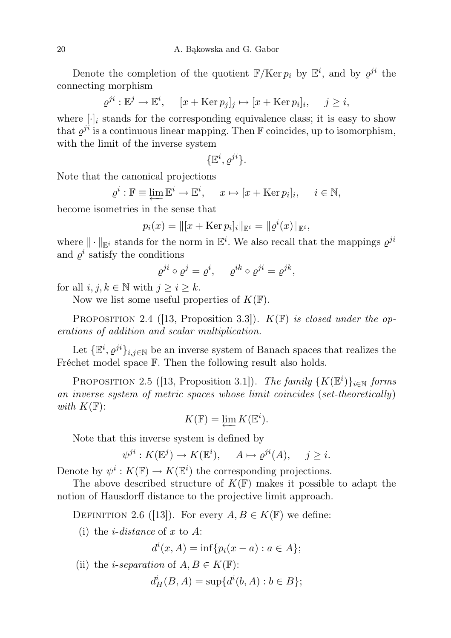Denote the completion of the quotient  $\mathbb{F}/\text{Ker } p_i$  by  $\mathbb{E}^i$ , and by  $\varrho^{ji}$  the connecting morphism

$$
\varrho^{ji} : \mathbb{E}^j \to \mathbb{E}^i, \quad [x + \text{Ker } p_j]_j \mapsto [x + \text{Ker } p_i]_i, \quad j \ge i,
$$

where  $[\cdot]_i$  stands for the corresponding equivalence class; it is easy to show that  $\varrho^{ji}$  is a continuous linear mapping. Then F coincides, up to isomorphism, with the limit of the inverse system

$$
\{\mathbb{E}^i, \varrho^{ji}\}.
$$

Note that the canonical projections

$$
\varrho^i : \mathbb{F} \equiv \varprojlim \mathbb{E}^i \to \mathbb{E}^i, \quad x \mapsto [x + \text{Ker } p_i]_i, \quad i \in \mathbb{N},
$$

become isometries in the sense that

$$
p_i(x) = ||[x + \text{Ker } p_i]_i||_{\mathbb{E}^i} = ||\varrho^i(x)||_{\mathbb{E}^i},
$$

where  $\|\cdot\|_{\mathbb{E}^i}$  stands for the norm in  $\mathbb{E}^i$ . We also recall that the mappings  $\varrho^{ji}$ and  $\varrho^i$  satisfy the conditions

$$
\varrho^{ji} \circ \varrho^j = \varrho^i, \quad \varrho^{ik} \circ \varrho^{ji} = \varrho^{jk},
$$

for all  $i, j, k \in \mathbb{N}$  with  $j \geq i \geq k$ .

Now we list some useful properties of  $K(\mathbb{F})$ .

PROPOSITION 2.4 ([13, Proposition 3.3]).  $K(\mathbb{F})$  is closed under the operations of addition and scalar multiplication.

Let  $\{\mathbb{E}^i, \varrho^{ji}\}_{i,j\in\mathbb{N}}$  be an inverse system of Banach spaces that realizes the Fréchet model space  $\mathbb{F}$ . Then the following result also holds.

PROPOSITION 2.5 ([13, Proposition 3.1]). The family  $\{K(\mathbb{E}^i)\}_{i\in\mathbb{N}}$  forms an inverse system of metric spaces whose limit coincides (set-theoretically) with  $K(\mathbb{F})$ :

$$
K(\mathbb{F}) = \varprojlim K(\mathbb{E}^i).
$$

Note that this inverse system is defined by

$$
\psi^{ji}: K(\mathbb{E}^j) \to K(\mathbb{E}^i), \quad A \mapsto \varrho^{ji}(A), \quad j \geq i.
$$

Denote by  $\psi^i: K(\mathbb{F}) \to K(\mathbb{E}^i)$  the corresponding projections.

The above described structure of  $K(\mathbb{F})$  makes it possible to adapt the notion of Hausdorff distance to the projective limit approach.

DEFINITION 2.6 ([13]). For every  $A, B \in K(\mathbb{F})$  we define:

(i) the *i*-distance of x to A:

 $d^{i}(x, A) = \inf\{p_{i}(x - a) : a \in A\};$ 

(ii) the *i-separation* of  $A, B \in K(\mathbb{F})$ :

 $d_H^i(B, A) = \sup\{d^i(b, A) : b \in B\};$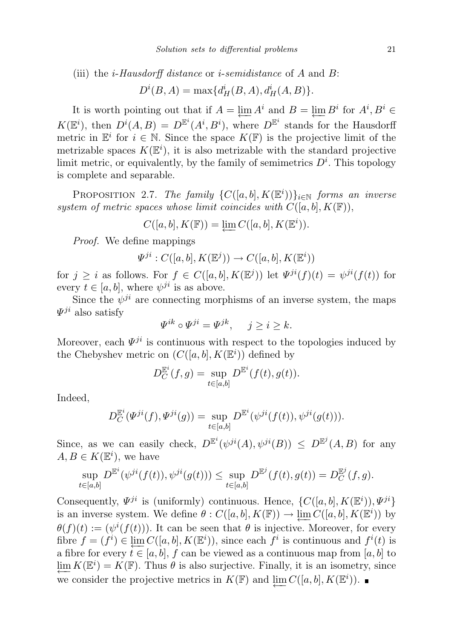(iii) the *i-Hausdorff distance* or *i-semidistance* of A and B:

$$
D^{i}(B, A) = \max\{d_H^{i}(B, A), d_H^{i}(A, B)\}.
$$

It is worth pointing out that if  $A = \varprojlim_{n} A^{i}$  and  $B = \varprojlim_{n} B^{i}$  for  $A^{i}, B^{i} \in$  $K(\mathbb{E}^i)$ , then  $D^i(A, B) = D^{\mathbb{E}^i}(A^i, B^i)$ , where  $D^{\mathbb{E}^i}$  stands for the Hausdorff metric in  $\mathbb{E}^i$  for  $i \in \mathbb{N}$ . Since the space  $K(\mathbb{F})$  is the projective limit of the metrizable spaces  $K(\mathbb{E}^i)$ , it is also metrizable with the standard projective limit metric, or equivalently, by the family of semimetrics  $D^i$ . This topology is complete and separable.

PROPOSITION 2.7. The family  $\{C([a, b], K(\mathbb{E}^i))\}_{i\in\mathbb{N}}$  forms an inverse system of metric spaces whose limit coincides with  $C([a, b], K(\mathbb{F}))$ ,

$$
C([a, b], K(\mathbb{F})) = \underleftarrow{\lim} C([a, b], K(\mathbb{E}^{i})).
$$

Proof. We define mappings

$$
\varPsi^{ji}:C([a,b],K(\mathbb{E}^j))\to C([a,b],K(\mathbb{E}^i))
$$

for  $j \geq i$  as follows. For  $f \in C([a, b], K(\mathbb{E}^j))$  let  $\Psi^{ji}(f)(t) = \psi^{ji}(f(t))$  for every  $t \in [a, b]$ , where  $\psi^{ji}$  is as above.

Since the  $\psi^{ji}$  are connecting morphisms of an inverse system, the maps  $\Psi^{ji}$  also satisfy

$$
\Psi^{ik} \circ \Psi^{ji} = \Psi^{jk}, \quad j \ge i \ge k.
$$

Moreover, each  $\Psi^{ji}$  is continuous with respect to the topologies induced by the Chebyshev metric on  $(C([a, b], K(\mathbb{E}^i))$  defined by

$$
D_C^{\mathbb{E}^i}(f,g) = \sup_{t \in [a,b]} D^{\mathbb{E}^i}(f(t), g(t)).
$$

Indeed,

$$
D_C^{\mathbb{E}^i}(\Psi^{ji}(f),\Psi^{ji}(g)) = \sup_{t \in [a,b]} D^{\mathbb{E}^i}(\psi^{ji}(f(t)),\psi^{ji}(g(t))).
$$

Since, as we can easily check,  $D^{\mathbb{E}^i}(\psi^{ji}(A), \psi^{ji}(B)) \le D^{\mathbb{E}^j}(A, B)$  for any  $A, B \in K(\mathbb{E}^i)$ , we have

$$
\sup_{t \in [a,b]} D^{\mathbb{E}^i}(\psi^{ji}(f(t)), \psi^{ji}(g(t))) \leq \sup_{t \in [a,b]} D^{\mathbb{E}^j}(f(t), g(t)) = D^{\mathbb{E}^j}_C(f, g).
$$

Consequently,  $\Psi^{ji}$  is (uniformly) continuous. Hence,  $\{C([a, b], K(\mathbb{E}^i)), \Psi^{ji}\}$ is an inverse system. We define  $\theta : C([a, b], K(\mathbb{F})) \to \varprojlim C([a, b], K(\mathbb{E}^i))$  by  $\theta(f)(t) := (\psi^{i}(f(t)))$ . It can be seen that  $\theta$  is injective. Moreover, for every fibre  $f = (f^i) \in \varprojlim C([a, b], K(\mathbb{E}^i))$ , since each  $f^i$  is continuous and  $f^i(t)$  is a fibre for every  $t \in [a, b]$ , f can be viewed as a continuous map from  $[a, b]$  to  $\varprojlim K(\mathbb{E}^i) = K(\mathbb{F})$ . Thus  $\theta$  is also surjective. Finally, it is an isometry, since we consider the projective metrics in  $K(\mathbb{F})$  and  $\varprojlim C([a, b], K(\mathbb{E}^i))$ .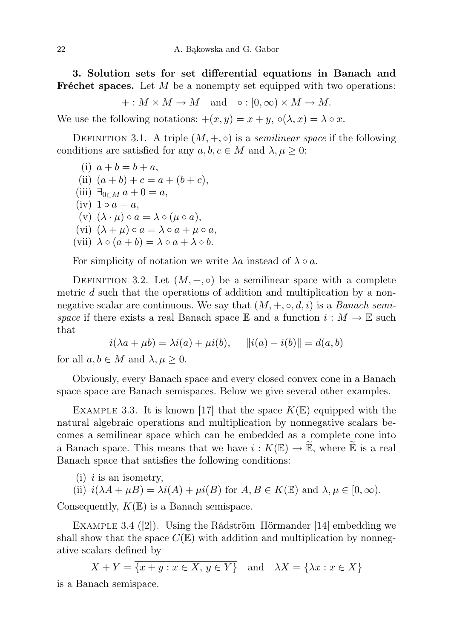3. Solution sets for set differential equations in Banach and **Fréchet spaces.** Let  $M$  be a nonempty set equipped with two operations:

$$
+: M \times M \to M
$$
 and  $\circ : [0, \infty) \times M \to M$ .

We use the following notations:  $+(x, y) = x + y$ ,  $\circ(\lambda, x) = \lambda \circ x$ .

DEFINITION 3.1. A triple  $(M, +, \circ)$  is a *semilinear space* if the following conditions are satisfied for any  $a, b, c \in M$  and  $\lambda, \mu \geq 0$ :

(i)  $a + b = b + a$ , (ii)  $(a + b) + c = a + (b + c)$ , (iii)  $\exists_{0 \in M} a + 0 = a$ ,  $(iv) 1 \circ a = a,$ (v)  $(\lambda \cdot \mu) \circ a = \lambda \circ (\mu \circ a),$ (vi)  $(\lambda + \mu) \circ a = \lambda \circ a + \mu \circ a$ , (vii)  $\lambda \circ (a+b) = \lambda \circ a + \lambda \circ b$ .

For simplicity of notation we write  $\lambda a$  instead of  $\lambda \circ a$ .

DEFINITION 3.2. Let  $(M, +, \circ)$  be a semilinear space with a complete metric d such that the operations of addition and multiplication by a nonnegative scalar are continuous. We say that  $(M, +, \circ, d, i)$  is a *Banach semi*space if there exists a real Banach space E and a function  $i : M \to \mathbb{E}$  such that

$$
i(\lambda a + \mu b) = \lambda i(a) + \mu i(b), \quad ||i(a) - i(b)|| = d(a, b)
$$

for all  $a, b \in M$  and  $\lambda, \mu \geq 0$ .

Obviously, every Banach space and every closed convex cone in a Banach space space are Banach semispaces. Below we give several other examples.

EXAMPLE 3.3. It is known [17] that the space  $K(\mathbb{E})$  equipped with the natural algebraic operations and multiplication by nonnegative scalars becomes a semilinear space which can be embedded as a complete cone into a Banach space. This means that we have  $i: K(\mathbb{E}) \to \widetilde{\mathbb{E}}$ , where  $\widetilde{\mathbb{E}}$  is a real Banach space that satisfies the following conditions:

 $(i)$  *i* is an isometry,

(ii) 
$$
i(\lambda A + \mu B) = \lambda i(A) + \mu i(B)
$$
 for  $A, B \in K(\mathbb{E})$  and  $\lambda, \mu \in [0, \infty)$ .

Consequently,  $K(\mathbb{E})$  is a Banach semispace.

Example 3.4 ([2]). Using the Rådström–Hörmander [14] embedding we shall show that the space  $C(\mathbb{E})$  with addition and multiplication by nonnegative scalars defined by

 $X + Y = \overline{\{x + y : x \in X, y \in Y\}}$  and  $\lambda X = \{\lambda x : x \in X\}$ 

is a Banach semispace.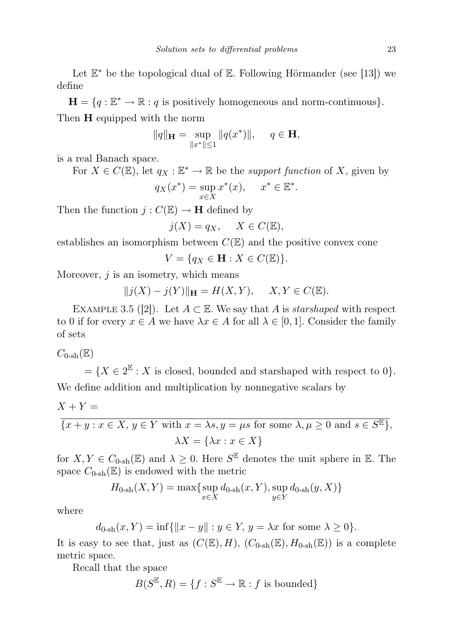Let  $\mathbb{E}^*$  be the topological dual of  $\mathbb{E}$ . Following Hörmander (see [13]) we define

 $\mathbf{H} = \{q : \mathbb{E}^* \to \mathbb{R} : q \text{ is positively homogeneous and norm-continuous}\}.$ Then **H** equipped with the norm

$$
||q||_{\mathbf{H}} = \sup_{||x^*|| \le 1} ||q(x^*)||, \quad q \in \mathbf{H},
$$

is a real Banach space.

For  $X \in C(\mathbb{E})$ , let  $q_X : \mathbb{E}^* \to \mathbb{R}$  be the *support function* of X, given by  $q_X(x^*) = \sup$ x∈X  $x^*(x)$ ,  $x^* \in \mathbb{E}^*$ .

Then the function  $j: C(\mathbb{E}) \to \mathbf{H}$  defined by

$$
j(X) = q_X, \quad X \in C(\mathbb{E}),
$$

establishes an isomorphism between  $C(\mathbb{E})$  and the positive convex cone

 $V = \{q_X \in \mathbf{H} : X \in C(\mathbb{E})\}.$ 

Moreover,  $j$  is an isometry, which means

$$
||j(X)-j(Y)||_{\mathbf H}=H(X,Y),\quad \ X,Y\in C(\mathbb E).
$$

EXAMPLE 3.5 ([2]). Let  $A \subset \mathbb{E}$ . We say that A is *starshaped* with respect to 0 if for every  $x \in A$  we have  $\lambda x \in A$  for all  $\lambda \in [0,1]$ . Consider the family of sets

 $C_{0\text{-sh}}(\mathbb{E})$ 

 $=\{X \in 2^{\mathbb{E}} : X \text{ is closed, bounded and starshaped with respect to } 0\}.$ We define addition and multiplication by nonnegative scalars by

$$
X + Y =
$$

$$
\overline{\{x+y:x\in X,\,y\in Y\text{ with }x=\lambda s,y=\mu s\text{ for some }\lambda,\mu\geq 0\text{ and }s\in S^{\mathbb{E}}\}},
$$

$$
\lambda X = \{\lambda x:x\in X\}
$$

for  $X, Y \in C_{0-sh}(\mathbb{E})$  and  $\lambda \geq 0$ . Here  $S^{\mathbb{E}}$  denotes the unit sphere in  $\mathbb{E}$ . The space  $C_{0\text{-sh}}(\mathbb{E})$  is endowed with the metric

$$
H_{0\text{-sh}}(X,Y) = \max\{\sup_{x \in X} d_{0\text{-sh}}(x,Y), \sup_{y \in Y} d_{0\text{-sh}}(y,X)\}
$$

where

$$
d_{0\text{-sh}}(x,Y) = \inf\{\|x-y\| : y \in Y, y = \lambda x \text{ for some } \lambda \ge 0\}.
$$

It is easy to see that, just as  $(C(\mathbb{E}), H)$ ,  $(C_{0\text{-sh}}(\mathbb{E}), H_{0\text{-sh}}(\mathbb{E}))$  is a complete metric space.

Recall that the space

$$
B(S^{\mathbb{E}},R)=\{f:S^{\mathbb{E}}\to\mathbb{R}: f\text{ is bounded}\}
$$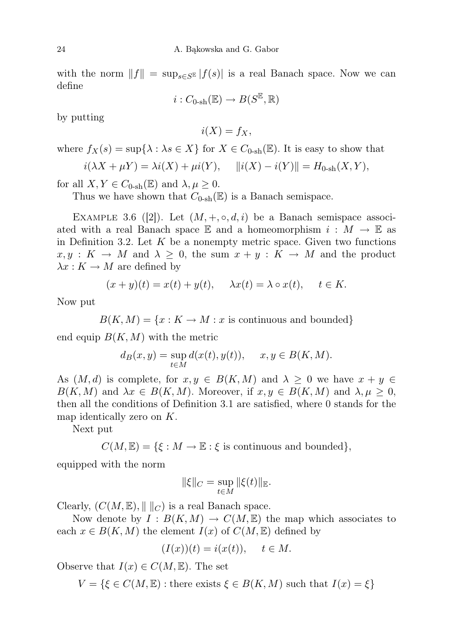with the norm  $||f|| = \sup_{s \in S^E} |f(s)|$  is a real Banach space. Now we can define

$$
i:C_{0\text{-sh}}(\mathbb{E})\to B(S^{\mathbb{E}},\mathbb{R})
$$

by putting

 $i(X) = f_X,$ 

where  $f_X(s) = \sup\{\lambda : \lambda s \in X\}$  for  $X \in C_{0\text{-sh}}(\mathbb{E})$ . It is easy to show that

$$
i(\lambda X + \mu Y) = \lambda i(X) + \mu i(Y), \quad ||i(X) - i(Y)|| = H_{0 \text{-sh}}(X, Y),
$$

for all  $X, Y \in C_{0\text{-sh}}(\mathbb{E})$  and  $\lambda, \mu \geq 0$ .

Thus we have shown that  $C_{0\text{-sh}}(\mathbb{E})$  is a Banach semispace.

EXAMPLE 3.6 ([2]). Let  $(M, +, \circ, d, i)$  be a Banach semispace associated with a real Banach space  $\mathbb E$  and a homeomorphism  $i : M \to \mathbb E$  as in Definition 3.2. Let  $K$  be a nonempty metric space. Given two functions  $x, y : K \to M$  and  $\lambda \geq 0$ , the sum  $x + y : K \to M$  and the product  $\lambda x : K \to M$  are defined by

$$
(x+y)(t) = x(t) + y(t), \quad \lambda x(t) = \lambda \circ x(t), \quad t \in K.
$$

Now put

$$
B(K, M) = \{x : K \to M : x \text{ is continuous and bounded}\}\
$$

end equip  $B(K, M)$  with the metric

$$
d_B(x, y) = \sup_{t \in M} d(x(t), y(t)), \quad x, y \in B(K, M).
$$

As  $(M, d)$  is complete, for  $x, y \in B(K, M)$  and  $\lambda \geq 0$  we have  $x + y \in$  $B(K, M)$  and  $\lambda x \in B(K, M)$ . Moreover, if  $x, y \in B(K, M)$  and  $\lambda, \mu \geq 0$ , then all the conditions of Definition 3.1 are satisfied, where 0 stands for the map identically zero on  $K$ .

Next put

 $C(M, \mathbb{E}) = \{ \xi : M \to \mathbb{E} : \xi \text{ is continuous and bounded} \},\$ 

equipped with the norm

$$
\|\xi\|_C = \sup_{t \in M} \|\xi(t)\|_{\mathbb{E}}.
$$

Clearly,  $(C(M, \mathbb{E}), || ||_C)$  is a real Banach space.

Now denote by  $I : B(K,M) \to C(M,\mathbb{E})$  the map which associates to each  $x \in B(K, M)$  the element  $I(x)$  of  $C(M, \mathbb{E})$  defined by

$$
(I(x))(t) = i(x(t)), \quad t \in M.
$$

Observe that  $I(x) \in C(M, \mathbb{E})$ . The set

 $V = \{\xi \in C(M, \mathbb{E}) : \text{there exists } \xi \in B(K, M) \text{ such that } I(x) = \xi\}$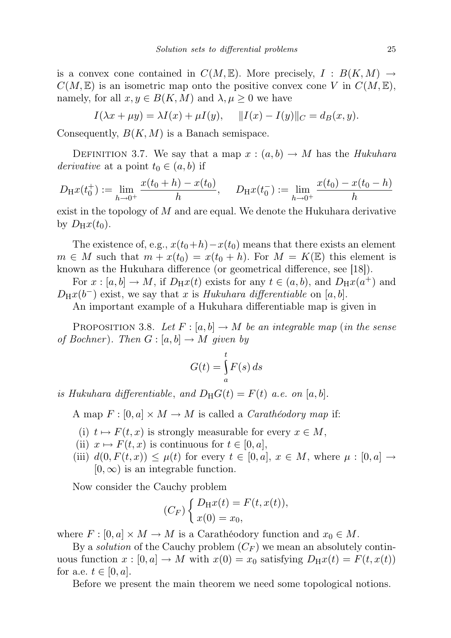is a convex cone contained in  $C(M, \mathbb{E})$ . More precisely,  $I : B(K, M) \rightarrow$  $C(M, \mathbb{E})$  is an isometric map onto the positive convex cone V in  $C(M, \mathbb{E})$ , namely, for all  $x, y \in B(K, M)$  and  $\lambda, \mu \geq 0$  we have

$$
I(\lambda x + \mu y) = \lambda I(x) + \mu I(y), \quad ||I(x) - I(y)||_C = d_B(x, y).
$$

Consequently,  $B(K, M)$  is a Banach semispace.

DEFINITION 3.7. We say that a map  $x:(a,b)\to M$  has the Hukuhara *derivative* at a point  $t_0 \in (a, b)$  if

$$
D_{\mathrm{H}}x(t_0^+) := \lim_{h \to 0^+} \frac{x(t_0 + h) - x(t_0)}{h}, \quad D_{\mathrm{H}}x(t_0^-) := \lim_{h \to 0^+} \frac{x(t_0) - x(t_0 - h)}{h}
$$

exist in the topology of  $M$  and are equal. We denote the Hukuhara derivative by  $D_Hx(t_0)$ .

The existence of, e.g.,  $x(t_0+h)-x(t_0)$  means that there exists an element  $m \in M$  such that  $m + x(t_0) = x(t_0 + h)$ . For  $M = K(\mathbb{E})$  this element is known as the Hukuhara difference (or geometrical difference, see [18]).

For  $x : [a, b] \to M$ , if  $D_H x(t)$  exists for any  $t \in (a, b)$ , and  $D_H x(a^+)$  and  $D_Hx(b^-)$  exist, we say that x is Hukuhara differentiable on [a, b].

An important example of a Hukuhara differentiable map is given in

PROPOSITION 3.8. Let  $F : [a, b] \to M$  be an integrable map (in the sense of Bochner). Then  $G : [a, b] \to M$  given by

$$
G(t) = \int_{a}^{t} F(s) \, ds
$$

is Hukuhara differentiable, and  $D_H G(t) = F(t)$  a.e. on [a, b].

A map  $F : [0, a] \times M \rightarrow M$  is called a *Carathéodory map* if:

- (i)  $t \mapsto F(t, x)$  is strongly measurable for every  $x \in M$ ,
- (ii)  $x \mapsto F(t, x)$  is continuous for  $t \in [0, a]$ ,
- (iii)  $d(0, F(t, x)) \leq \mu(t)$  for every  $t \in [0, a], x \in M$ , where  $\mu : [0, a] \rightarrow$  $[0, \infty)$  is an integrable function.

Now consider the Cauchy problem

$$
(C_F)\begin{cases}D_Hx(t) = F(t, x(t)),\\x(0) = x_0,\end{cases}
$$

where  $F : [0, a] \times M \to M$  is a Carathéodory function and  $x_0 \in M$ .

By a *solution* of the Cauchy problem  $(C_F)$  we mean an absolutely continuous function  $x : [0, a] \to M$  with  $x(0) = x_0$  satisfying  $D_Hx(t) = F(t, x(t))$ for a.e.  $t \in [0, a]$ .

Before we present the main theorem we need some topological notions.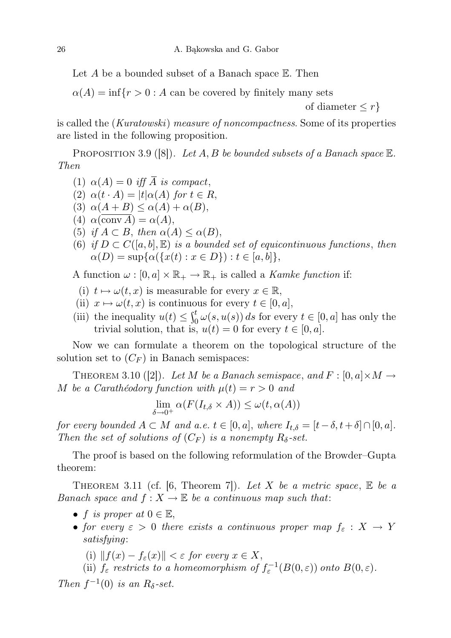Let A be a bounded subset of a Banach space  $E$ . Then

 $\alpha(A) = \inf\{r > 0 : A$  can be covered by finitely many sets

of diameter  $\leq r$ }

is called the (Kuratowski) measure of noncompactness. Some of its properties are listed in the following proposition.

PROPOSITION 3.9 ([8]). Let A, B be bounded subsets of a Banach space  $\mathbb{E}$ . Then

- (1)  $\alpha(A) = 0$  iff  $\overline{A}$  is compact,
- (2)  $\alpha(t \cdot A) = |t| \alpha(A)$  for  $t \in R$ ,
- (3)  $\alpha(A+B) \leq \alpha(A)+\alpha(B)$ ,
- (4)  $\alpha(\overline{\text{conv }A}) = \alpha(A),$
- (5) if  $A \subset B$ , then  $\alpha(A) \leq \alpha(B)$ ,
- (6) if  $D \subset C([a, b], \mathbb{E})$  is a bounded set of equicontinuous functions, then  $\alpha(D) = \sup \{ \alpha(\{x(t) : x \in D\}) : t \in [a, b] \},\$

A function  $\omega : [0, a] \times \mathbb{R}_+ \to \mathbb{R}_+$  is called a *Kamke function* if:

- (i)  $t \mapsto \omega(t, x)$  is measurable for every  $x \in \mathbb{R}$ ,
- (ii)  $x \mapsto \omega(t, x)$  is continuous for every  $t \in [0, a],$
- (iii) the inequality  $u(t) \leq \int_0^t \omega(s, u(s)) ds$  for every  $t \in [0, a]$  has only the trivial solution, that is,  $u(t) = 0$  for every  $t \in [0, a]$ .

Now we can formulate a theorem on the topological structure of the solution set to  $(C_F)$  in Banach semispaces:

THEOREM 3.10 ([2]). Let M be a Banach semispace, and  $F : [0, a] \times M \rightarrow$ M be a Caratheodory function with  $\mu(t) = r > 0$  and

$$
\lim_{\delta \to 0^+} \alpha(F(I_{t,\delta} \times A)) \le \omega(t, \alpha(A))
$$

for every bounded  $A \subset M$  and a.e.  $t \in [0, a]$ , where  $I_{t,\delta} = [t-\delta, t+\delta] \cap [0, a]$ . Then the set of solutions of  $(C_F)$  is a nonempty  $R_{\delta}$ -set.

The proof is based on the following reformulation of the Browder–Gupta theorem:

THEOREM 3.11 (cf. [6, Theorem 7]). Let X be a metric space,  $E$  be a Banach space and  $f: X \to \mathbb{E}$  be a continuous map such that:

- f is proper at  $0 \in \mathbb{E}$ ,
- for every  $\varepsilon > 0$  there exists a continuous proper map  $f_{\varepsilon}: X \to Y$ satisfying:
	- (i)  $|| f(x) f_{\varepsilon}(x)|| < \varepsilon$  for every  $x \in X$ ,
	- (ii)  $f_{\varepsilon}$  restricts to a homeomorphism of  $f_{\varepsilon}^{-1}(B(0,\varepsilon))$  onto  $B(0,\varepsilon)$ .

Then  $f^{-1}(0)$  is an  $R_{\delta}$ -set.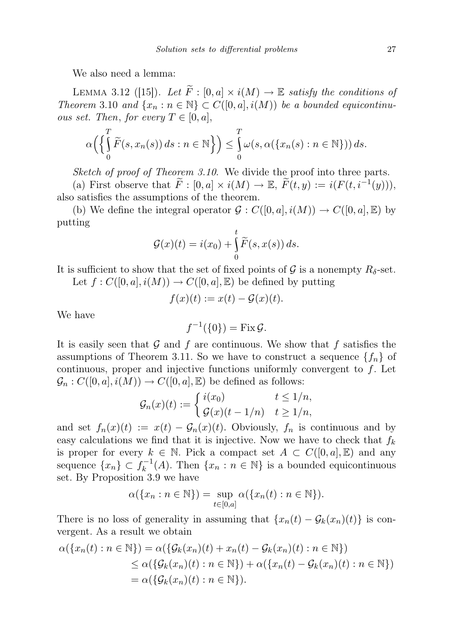We also need a lemma:

LEMMA 3.12 ([15]). Let  $\widetilde{F}:[0,a] \times i(M) \to \mathbb{E}$  satisfy the conditions of Theorem 3.10 and  $\{x_n : n \in \mathbb{N}\} \subset C([0, a], i(M))$  be a bounded equicontinu*ous set. Then, for every*  $T \in [0, a]$ ,

$$
\alpha\left(\left\{\int\limits_0^T \widetilde{F}(s, x_n(s)) ds : n \in \mathbb{N}\right\}\right) \leq \int\limits_0^T \omega(s, \alpha(\left\{x_n(s) : n \in \mathbb{N}\right\})) ds.
$$

Sketch of proof of Theorem 3.10. We divide the proof into three parts.

(a) First observe that  $\widetilde{F} : [0, a] \times i(M) \to \mathbb{E}, \widetilde{F}(t, y) := i(F(t, i^{-1}(y))),$ also satisfies the assumptions of the theorem.

(b) We define the integral operator  $\mathcal{G}: C([0, a], i(M)) \to C([0, a], \mathbb{E})$  by putting

$$
\mathcal{G}(x)(t) = i(x_0) + \int_0^t \widetilde{F}(s, x(s)) ds.
$$

It is sufficient to show that the set of fixed points of  $\mathcal G$  is a nonempty  $R_\delta$ -set. Let  $f: C([0, a], i(M)) \to C([0, a], \mathbb{E})$  be defined by putting

$$
f(x)(t) := x(t) - \mathcal{G}(x)(t).
$$

We have

$$
f^{-1}(\{0\}) = \text{Fix}\,\mathcal{G}.
$$

It is easily seen that  $G$  and  $f$  are continuous. We show that  $f$  satisfies the assumptions of Theorem 3.11. So we have to construct a sequence  $\{f_n\}$  of continuous, proper and injective functions uniformly convergent to  $f$ . Let  $\mathcal{G}_n : C([0, a], i(M)) \to C([0, a], \mathbb{E})$  be defined as follows:

$$
\mathcal{G}_n(x)(t) := \begin{cases} i(x_0) & t \le 1/n, \\ \mathcal{G}(x)(t-1/n) & t \ge 1/n, \end{cases}
$$

and set  $f_n(x)(t) := x(t) - \mathcal{G}_n(x)(t)$ . Obviously,  $f_n$  is continuous and by easy calculations we find that it is injective. Now we have to check that  $f_k$ is proper for every  $k \in \mathbb{N}$ . Pick a compact set  $A \subset C([0, a], \mathbb{E})$  and any sequence  $\{x_n\} \subset f_k^{-1}$  $k_k^{-1}(A)$ . Then  $\{x_n : n \in \mathbb{N}\}\$ is a bounded equicontinuous set. By Proposition 3.9 we have

$$
\alpha(\{x_n : n \in \mathbb{N}\}) = \sup_{t \in [0,a]} \alpha(\{x_n(t) : n \in \mathbb{N}\}).
$$

There is no loss of generality in assuming that  $\{x_n(t) - \mathcal{G}_k(x_n)(t)\}\$ is convergent. As a result we obtain

$$
\alpha(\{x_n(t): n \in \mathbb{N}\}) = \alpha(\{\mathcal{G}_k(x_n)(t) + x_n(t) - \mathcal{G}_k(x_n)(t) : n \in \mathbb{N}\})
$$
  
\n
$$
\leq \alpha(\{\mathcal{G}_k(x_n)(t) : n \in \mathbb{N}\}) + \alpha(\{x_n(t) - \mathcal{G}_k(x_n)(t) : n \in \mathbb{N}\})
$$
  
\n
$$
= \alpha(\{\mathcal{G}_k(x_n)(t) : n \in \mathbb{N}\}).
$$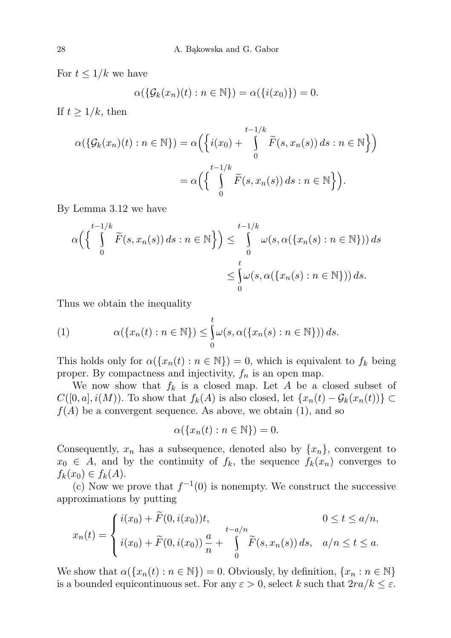For  $t \leq 1/k$  we have

$$
\alpha(\{\mathcal{G}_k(x_n)(t) : n \in \mathbb{N}\}) = \alpha(\{i(x_0)\}) = 0.
$$

If  $t \geq 1/k$ , then

$$
\alpha(\{\mathcal{G}_k(x_n)(t) : n \in \mathbb{N}\}) = \alpha\left(\left\{i(x_0) + \int_0^{t-1/k} \widetilde{F}(s, x_n(s)) ds : n \in \mathbb{N}\right\}\right)
$$

$$
= \alpha\left(\left\{\int_0^{t-1/k} \widetilde{F}(s, x_n(s)) ds : n \in \mathbb{N}\right\}\right).
$$

By Lemma 3.12 we have

$$
\alpha \left( \left\{ \int_{0}^{t-1/k} \widetilde{F}(s, x_n(s)) ds : n \in \mathbb{N} \right\} \right) \leq \int_{0}^{t-1/k} \omega(s, \alpha(\{x_n(s) : n \in \mathbb{N}\})) ds
$$
  

$$
\leq \int_{0}^{t} \omega(s, \alpha(\{x_n(s) : n \in \mathbb{N}\})) ds.
$$

Thus we obtain the inequality

(1) 
$$
\alpha(\lbrace x_n(t) : n \in \mathbb{N} \rbrace) \leq \int_0^t \omega(s, \alpha(\lbrace x_n(s) : n \in \mathbb{N} \rbrace)) ds.
$$

This holds only for  $\alpha(\lbrace x_n(t) : n \in \mathbb{N} \rbrace) = 0$ , which is equivalent to  $f_k$  being proper. By compactness and injectivity,  $f_n$  is an open map.

We now show that  $f_k$  is a closed map. Let A be a closed subset of  $C([0, a], i(M))$ . To show that  $f_k(A)$  is also closed, let  $\{x_n(t) - \mathcal{G}_k(x_n(t))\} \subset$  $f(A)$  be a convergent sequence. As above, we obtain (1), and so

$$
\alpha(\{x_n(t):n\in\mathbb{N}\})=0.
$$

Consequently,  $x_n$  has a subsequence, denoted also by  $\{x_n\}$ , convergent to  $x_0 \in A$ , and by the continuity of  $f_k$ , the sequence  $f_k(x_n)$  converges to  $f_k(x_0) \in f_k(A)$ .

(c) Now we prove that  $f^{-1}(0)$  is nonempty. We construct the successive approximations by putting

$$
x_n(t) = \begin{cases} i(x_0) + \widetilde{F}(0, i(x_0))t, & 0 \le t \le a/n, \\ i(x_0) + \widetilde{F}(0, i(x_0))\frac{a}{n} + \int\limits_0^{t-a/n} \widetilde{F}(s, x_n(s)) ds, & a/n \le t \le a. \end{cases}
$$

We show that  $\alpha({x_n(t) : n \in \mathbb{N}}) = 0$ . Obviously, by definition,  ${x_n : n \in \mathbb{N}}$ is a bounded equicontinuous set. For any  $\varepsilon > 0$ , select k such that  $2ra/k \leq \varepsilon$ .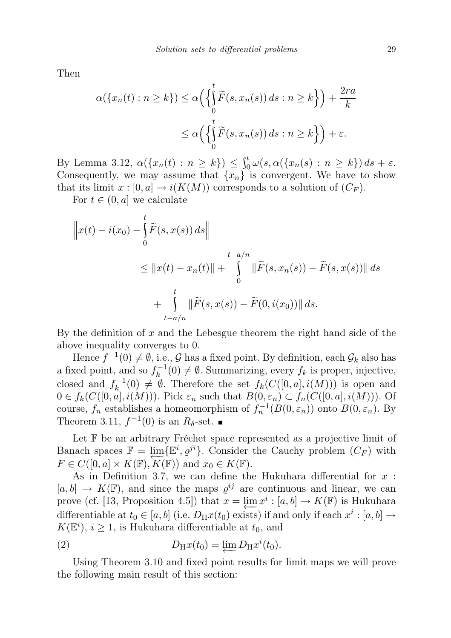Then

$$
\alpha(\lbrace x_n(t) : n \ge k \rbrace) \le \alpha \Big( \Big\{ \int_0^t \widetilde{F}(s, x_n(s)) ds : n \ge k \Big\} \Big) + \frac{2ra}{k}
$$
  

$$
\le \alpha \Big( \Big\{ \int_0^t \widetilde{F}(s, x_n(s)) ds : n \ge k \Big\} \Big) + \varepsilon.
$$

By Lemma 3.12,  $\alpha({x_n(t) : n \ge k}) \le \int_0^t \omega(s, \alpha({x_n(s) : n \ge k}) ds + \varepsilon.$ Consequently, we may assume that  $\{x_n\}$  is convergent. We have to show that its limit  $x : [0, a] \to i(K(M))$  corresponds to a solution of  $(C_F)$ .

For  $t \in (0, a]$  we calculate

$$
\|x(t) - i(x_0) - \int_0^t \widetilde{F}(s, x(s)) ds\|
$$
  
\n
$$
\leq \|x(t) - x_n(t)\| + \int_0^{t-a/n} \|\widetilde{F}(s, x_n(s)) - \widetilde{F}(s, x(s))\| ds
$$
  
\n
$$
+ \int_{t-a/n}^t \|\widetilde{F}(s, x(s)) - \widetilde{F}(0, i(x_0))\| ds.
$$

By the definition of  $x$  and the Lebesgue theorem the right hand side of the above inequality converges to 0.

Hence  $f^{-1}(0) \neq \emptyset$ , i.e., G has a fixed point. By definition, each  $\mathcal{G}_k$  also has a fixed point, and so  $f_k^{-1}$  $k_k^{-1}(0) \neq \emptyset$ . Summarizing, every  $f_k$  is proper, injective, closed and  $f_k^{-1}$  $f_k^{-1}(0) \neq \emptyset$ . Therefore the set  $f_k(C([0, a], i(M)))$  is open and  $0 \in f_k(C([0, a], i(M)))$ . Pick  $\varepsilon_n$  such that  $B(0, \varepsilon_n) \subset f_n(C([0, a], i(M)))$ . Of course,  $f_n$  establishes a homeomorphism of  $f_n^{-1}(B(0, \varepsilon_n))$  onto  $B(0, \varepsilon_n)$ . By Theorem 3.11,  $f^{-1}(0)$  is an  $R_{\delta}$ -set.

Let  $\mathbb F$  be an arbitrary Fréchet space represented as a projective limit of Banach spaces  $\mathbb{F} = \varprojlim \{ \mathbb{E}^i, \varrho^{ji} \}$ . Consider the Cauchy problem  $(C_F)$  with  $F \in C([0, a] \times K(\mathbb{F}), K(\mathbb{F}))$  and  $x_0 \in K(\mathbb{F})$ .

As in Definition 3.7, we can define the Hukuhara differential for  $x$ :  $[a, b] \to K(\mathbb{F})$ , and since the maps  $\varrho^{ij}$  are continuous and linear, we can prove (cf. [13, Proposition 4.5]) that  $x = \underleftarrow{\lim} x^i : [a, b] \to K(\mathbb{F})$  is Hukuhara differentiable at  $t_0 \in [a, b]$  (i.e.  $D_H x(t_0)$  exists) if and only if each  $x^i : [a, b] \rightarrow$  $K(\mathbb{E}^i), i \geq 1$ , is Hukuhara differentiable at  $t_0$ , and

(2) 
$$
D_{\mathrm{H}}x(t_0) = \varprojlim D_{\mathrm{H}}x^{i}(t_0).
$$

Using Theorem 3.10 and fixed point results for limit maps we will prove the following main result of this section: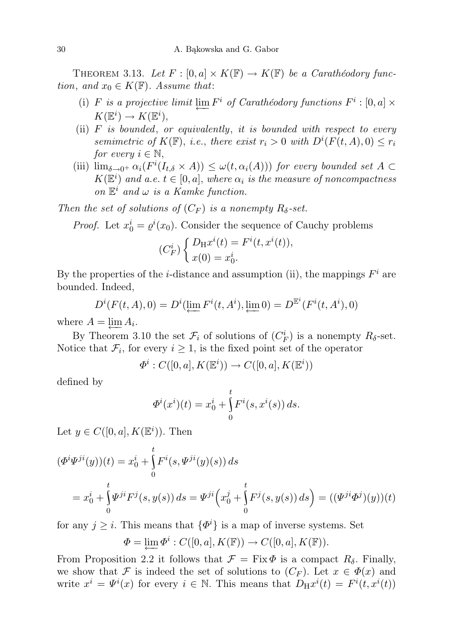THEOREM 3.13. Let  $F : [0, a] \times K(\mathbb{F}) \to K(\mathbb{F})$  be a Carathéodory function, and  $x_0 \in K(\mathbb{F})$ . Assume that:

- (i) F is a projective limit  $\varprojlim F^i$  of Carathéodory functions  $F^i : [0, a] \times$  $K(\mathbb{E}^i) \to K(\mathbb{E}^i),$
- (ii)  $F$  is bounded, or equivalently, it is bounded with respect to every semimetric of  $K(\mathbb{F})$ , i.e., there exist  $r_i > 0$  with  $D^{i}(F(t, A), 0) \leq r_i$ for every  $i \in \mathbb{N}$ ,
- (iii)  $\lim_{\delta \to 0^+} \alpha_i(F^i(I_{t,\delta} \times A)) \leq \omega(t, \alpha_i(A))$  for every bounded set  $A \subset$  $K(\mathbb{E}^i)$  and a.e.  $t \in [0, a]$ , where  $\alpha_i$  is the measure of noncompactness on  $\mathbb{E}^i$  and  $\omega$  is a Kamke function.

Then the set of solutions of  $(C_F)$  is a nonempty  $R_{\delta}$ -set.

*Proof.* Let  $x_0^i = \varrho^i(x_0)$ . Consider the sequence of Cauchy problems

$$
(C_F^i) \begin{cases} D_{\mathrm{H}}x^i(t) = F^i(t, x^i(t)), \\ x(0) = x_0^i. \end{cases}
$$

By the properties of the *i*-distance and assumption (ii), the mappings  $F^i$  are bounded. Indeed,

$$
D^{i}(F(t, A), 0) = D^{i}(\underleftarrow{\lim} F^{i}(t, A^{i}), \underleftarrow{\lim} 0) = D^{\mathbb{E}^{i}}(F^{i}(t, A^{i}), 0)
$$

where  $A = \varprojlim A_i$ .

By Theorem 3.10 the set  $\mathcal{F}_i$  of solutions of  $(C_F^i)$  is a nonempty  $R_{\delta}$ -set. Notice that  $\mathcal{F}_i$ , for every  $i \geq 1$ , is the fixed point set of the operator

$$
\Phi^i : C([0,a],K(\mathbb{E}^i)) \to C([0,a],K(\mathbb{E}^i))
$$

defined by

$$
\Phi^{i}(x^{i})(t) = x_{0}^{i} + \int_{0}^{t} F^{i}(s, x^{i}(s)) ds.
$$

Let  $y \in C([0, a], K(\mathbb{E}^i))$ . Then

$$
(\Phi^i \Psi^{ji}(y))(t) = x_0^i + \int_0^t F^i(s, \Psi^{ji}(y)(s)) ds
$$
  
=  $x_0^i + \int_0^t \Psi^{ji} F^j(s, y(s)) ds = \Psi^{ji} (x_0^j + \int_0^t F^j(s, y(s)) ds) = ((\Psi^{ji} \Phi^j)(y))(t)$ 

for any  $j \geq i$ . This means that  $\{\Phi^i\}$  is a map of inverse systems. Set

$$
\Phi = \varprojlim \Phi^i : C([0, a], K(\mathbb{F})) \to C([0, a], K(\mathbb{F})).
$$

From Proposition 2.2 it follows that  $\mathcal{F} = \text{Fix } \Phi$  is a compact  $R_{\delta}$ . Finally, we show that F is indeed the set of solutions to  $(C_F)$ . Let  $x \in \Phi(x)$  and write  $x^i = \Psi^i(x)$  for every  $i \in \mathbb{N}$ . This means that  $D_H x^i(t) = F^i(t, x^i(t))$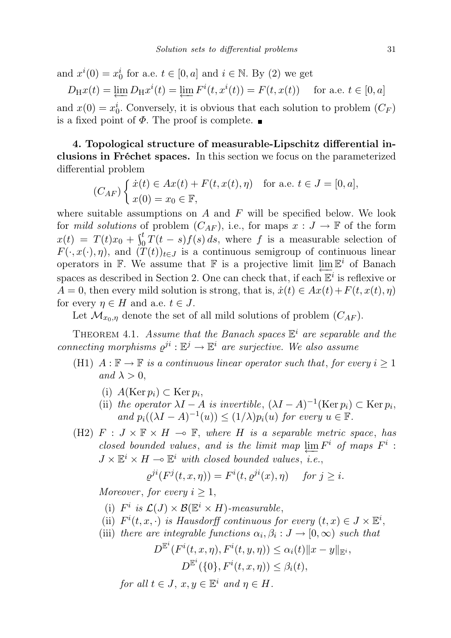and  $x^{i}(0) = x_{0}^{i}$  for a.e.  $t \in [0, a]$  and  $i \in \mathbb{N}$ . By (2) we get

 $D_{\rm H}x(t) = \lim_{\longleftarrow} D_{\rm H}x^{i}(t) = \lim_{\longleftarrow} F^{i}(t, x^{i}(t)) = F(t, x(t))$  for a.e.  $t \in [0, a]$ and  $x(0) = x_0^i$ . Conversely, it is obvious that each solution to problem  $(C_F)$ is a fixed point of  $\Phi$ . The proof is complete.

4. Topological structure of measurable-Lipschitz differential inclusions in Fréchet spaces. In this section we focus on the parameterized differential problem

$$
(C_{AF})\begin{cases} \dot{x}(t) \in Ax(t) + F(t, x(t), \eta) & \text{for a.e. } t \in J = [0, a],\\ x(0) = x_0 \in \mathbb{F}, \end{cases}
$$

where suitable assumptions on  $A$  and  $F$  will be specified below. We look for mild solutions of problem  $(C_{AF})$ , i.e., for maps  $x : J \to \mathbb{F}$  of the form  $x(t) = T(t)x_0 + \int_0^t T(t-s)f(s) ds$ , where f is a measurable selection of  $F(\cdot, x(\cdot), \eta)$ , and  $(\check{T}(t))_{t\in J}$  is a continuous semigroup of continuous linear operators in F. We assume that F is a projective limit  $\lim_{n \to \infty} \mathbb{E}^i$  of Banach spaces as described in Section 2. One can check that, if each  $\mathbb{E}^i$  is reflexive or  $A = 0$ , then every mild solution is strong, that is,  $\dot{x}(t) \in Ax(t) + F(t, x(t), \eta)$ for every  $\eta \in H$  and a.e.  $t \in J$ .

Let  $\mathcal{M}_{x_0,\eta}$  denote the set of all mild solutions of problem  $(C_{AF})$ .

THEOREM 4.1. Assume that the Banach spaces  $\mathbb{E}^i$  are separable and the connecting morphisms  $\varrho^{ji} : \mathbb{E}^j \to \mathbb{E}^i$  are surjective. We also assume

- (H1)  $A: \mathbb{F} \to \mathbb{F}$  is a continuous linear operator such that, for every  $i \geq 1$ and  $\lambda > 0$ ,
	- (i)  $A(\text{Ker }p_i) \subset \text{Ker }p_i,$
	- (ii) the operator  $\lambda I A$  is invertible,  $(\lambda I A)^{-1}$ (Ker  $p_i$ ) ⊂ Ker  $p_i$ , and  $p_i((\lambda I - A)^{-1}(u)) \leq (1/\lambda)p_i(u)$  for every  $u \in \mathbb{F}$ .
- (H2)  $F : J \times \mathbb{F} \times H \multimap \mathbb{F}$ , where H is a separable metric space, has closed bounded values, and is the limit map  $\varprojlim F^i$  of maps  $F^i$ :  $J \times \mathbb{E}^i \times H \longrightarrow \mathbb{E}^i$  with closed bounded values, i.e.,

$$
\varrho^{ji}(F^j(t, x, \eta)) = F^i(t, \varrho^{ji}(x), \eta) \quad \text{ for } j \ge i.
$$

Moreover, for every  $i \geq 1$ ,

- (i)  $F^i$  is  $\mathcal{L}(J) \times \mathcal{B}(\mathbb{E}^i \times H)$ -measurable,
- (ii)  $F^{i}(t, x, \cdot)$  is Hausdorff continuous for every  $(t, x) \in J \times \mathbb{E}^{i}$ ,
- (iii) there are integrable functions  $\alpha_i, \beta_i : J \to [0, \infty)$  such that

$$
D^{\mathbb{E}^i}(F^i(t, x, \eta), F^i(t, y, \eta)) \leq \alpha_i(t) \|x - y\|_{\mathbb{E}^i},
$$
  

$$
D^{\mathbb{E}^i}(\{0\}, F^i(t, x, \eta)) \leq \beta_i(t),
$$

for all  $t \in J$ ,  $x, y \in \mathbb{E}^i$  and  $\eta \in H$ .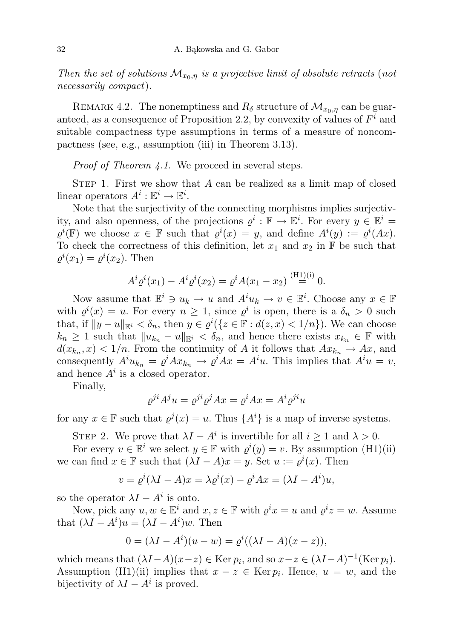Then the set of solutions  $\mathcal{M}_{x_0,\eta}$  is a projective limit of absolute retracts (not necessarily compact).

REMARK 4.2. The nonemptiness and  $R_{\delta}$  structure of  $\mathcal{M}_{x_0,\eta}$  can be guaranteed, as a consequence of Proposition 2.2, by convexity of values of  $F<sup>i</sup>$  and suitable compactness type assumptions in terms of a measure of noncompactness (see, e.g., assumption (iii) in Theorem 3.13).

Proof of Theorem 4.1. We proceed in several steps.

STEP 1. First we show that  $A$  can be realized as a limit map of closed linear operators  $A^i : \mathbb{E}^i \to \mathbb{E}^i$ .

Note that the surjectivity of the connecting morphisms implies surjectivity, and also openness, of the projections  $\varrho^i : \mathbb{F} \to \mathbb{E}^i$ . For every  $y \in \mathbb{E}^i$  $\varrho^{i}(\mathbb{F})$  we choose  $x \in \mathbb{F}$  such that  $\varrho^{i}(x) = y$ , and define  $A^{i}(y) := \varrho^{i}(Ax)$ . To check the correctness of this definition, let  $x_1$  and  $x_2$  in  $\mathbb F$  be such that  $\varrho^{i}(x_1) = \varrho^{i}(x_2)$ . Then

$$
A^{i} \varrho^{i}(x_{1}) - A^{i} \varrho^{i}(x_{2}) = \varrho^{i} A(x_{1} - x_{2}) \stackrel{\text{(H1)}(i)}{=} 0.
$$

Now assume that  $\mathbb{E}^i \ni u_k \to u$  and  $A^i u_k \to v \in \mathbb{E}^i$ . Choose any  $x \in \mathbb{F}$ with  $\varrho^{i}(x) = u$ . For every  $n \geq 1$ , since  $\varrho^{i}$  is open, there is a  $\delta_{n} > 0$  such that, if  $||y - u||_{\mathbb{E}^i} < \delta_n$ , then  $y \in \varrho^i({z \in \mathbb{F} : d(z, x) < 1/n})$ . We can choose  $k_n \geq 1$  such that  $||u_{k_n} - u||_{\mathbb{R}^i} < \delta_n$ , and hence there exists  $x_{k_n} \in \mathbb{F}$  with  $d(x_{k_n}, x) < 1/n$ . From the continuity of A it follows that  $Ax_{k_n} \to Ax$ , and consequently  $A^i u_{k_n} = \varrho^i A x_{k_n} \to \varrho^i A x = A^i u$ . This implies that  $A^i u = v$ , and hence  $A^i$  is a closed operator.

Finally,

$$
\varrho^{ji}A^j u = \varrho^{ji}\varrho^j Ax = \varrho^i Ax = A^i \varrho^{ji} u
$$

for any  $x \in \mathbb{F}$  such that  $\varrho^{j}(x) = u$ . Thus  $\{A^{i}\}\$ is a map of inverse systems.

STEP 2. We prove that  $\lambda I - A^i$  is invertible for all  $i \geq 1$  and  $\lambda > 0$ .

For every  $v \in \mathbb{E}^i$  we select  $y \in \mathbb{F}$  with  $\varrho^i(y) = v$ . By assumption (H1)(ii) we can find  $x \in \mathbb{F}$  such that  $(\lambda I - A)x = y$ . Set  $u := \varrho^{i}(x)$ . Then

$$
v = \varrho^{i}(\lambda I - A)x = \lambda \varrho^{i}(x) - \varrho^{i}Ax = (\lambda I - A^{i})u,
$$

so the operator  $\lambda I - A^i$  is onto.

Now, pick any  $u, w \in \mathbb{E}^i$  and  $x, z \in \mathbb{F}$  with  $\varrho^i x = u$  and  $\varrho^i z = w$ . Assume that  $(\lambda I - A^i)u = (\lambda I - A^i)w$ . Then

$$
0 = (\lambda I - A^{i})(u - w) = \varrho^{i}((\lambda I - A)(x - z)),
$$

which means that  $(\lambda I - A)(x - z) \in \text{Ker } p_i$ , and so  $x - z \in (\lambda I - A)^{-1}(\text{Ker } p_i)$ . Assumption (H1)(ii) implies that  $x - z \in \text{Ker } p_i$ . Hence,  $u = w$ , and the bijectivity of  $\lambda I - A^i$  is proved.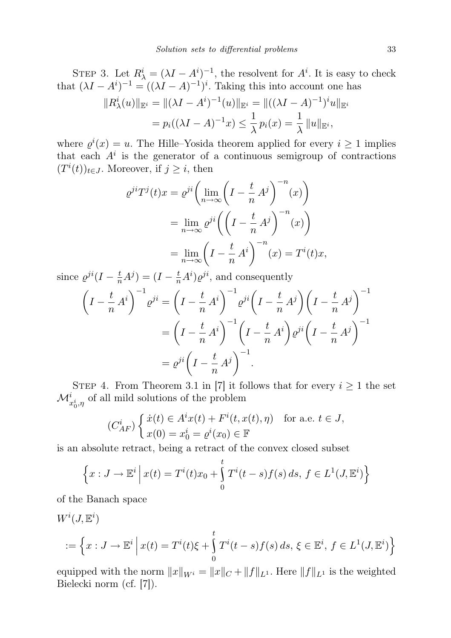STEP 3. Let  $R^i_\lambda = (\lambda I - A^i)^{-1}$ , the resolvent for  $A^i$ . It is easy to check that  $(\lambda I - A^{i})^{-1} = ((\lambda I - A)^{-1})^{i}$ . Taking this into account one has

$$
||R_{\lambda}^{i}(u)||_{\mathbb{E}^{i}} = ||(\lambda I - A^{i})^{-1}(u)||_{\mathbb{E}^{i}} = ||((\lambda I - A)^{-1})^{i}u||_{\mathbb{E}^{i}}
$$
  
=  $p_{i}((\lambda I - A)^{-1}x) \le \frac{1}{\lambda} p_{i}(x) = \frac{1}{\lambda} ||u||_{\mathbb{E}^{i}},$ 

where  $\varrho^{i}(x) = u$ . The Hille–Yosida theorem applied for every  $i \geq 1$  implies that each  $A^i$  is the generator of a continuous semigroup of contractions  $(T^i(t))_{t\in J}$ . Moreover, if  $j\geq i$ , then

$$
\varrho^{ji}T^{j}(t)x = \varrho^{ji}\left(\lim_{n\to\infty}\left(I - \frac{t}{n}A^{j}\right)^{-n}(x)\right)
$$

$$
= \lim_{n\to\infty}\varrho^{ji}\left(\left(I - \frac{t}{n}A^{j}\right)^{-n}(x)\right)
$$

$$
= \lim_{n\to\infty}\left(I - \frac{t}{n}A^{i}\right)^{-n}(x) = T^{i}(t)x,
$$

since  $\varrho^{ji}(I - \frac{t}{n}A^j) = (I - \frac{t}{n}A^i)\varrho^{ji}$ , and consequently

$$
\left(I - \frac{t}{n} A^{i}\right)^{-1} \varrho^{ji} = \left(I - \frac{t}{n} A^{i}\right)^{-1} \varrho^{ji} \left(I - \frac{t}{n} A^{j}\right) \left(I - \frac{t}{n} A^{j}\right)^{-1}
$$

$$
= \left(I - \frac{t}{n} A^{i}\right)^{-1} \left(I - \frac{t}{n} A^{i}\right) \varrho^{ji} \left(I - \frac{t}{n} A^{j}\right)^{-1}
$$

$$
= \varrho^{ji} \left(I - \frac{t}{n} A^{j}\right)^{-1}.
$$

STEP 4. From Theorem 3.1 in [7] it follows that for every  $i \geq 1$  the set  $\mathcal{M}^{i}_{x^{i}_{0}, \eta}$  of all mild solutions of the problem

$$
(C_{AF}^i) \begin{cases} \dot{x}(t) \in A^i x(t) + F^i(t, x(t), \eta) & \text{for a.e. } t \in J, \\ x(0) = x_0^i = \varrho^i(x_0) \in \mathbb{F} \end{cases}
$$

is an absolute retract, being a retract of the convex closed subset

$$
\left\{x: J \to \mathbb{E}^i \, \middle| \, x(t) = T^i(t)x_0 + \int_0^t T^i(t-s)f(s) \, ds, \, f \in L^1(J, \mathbb{E}^i) \right\}
$$

of the Banach space

$$
W^{i}(J, \mathbb{E}^{i})
$$
  
 := 
$$
\left\{ x : J \to \mathbb{E}^{i} \middle| x(t) = T^{i}(t)\xi + \int_{0}^{t} T^{i}(t-s)f(s) ds, \xi \in \mathbb{E}^{i}, f \in L^{1}(J, \mathbb{E}^{i}) \right\}
$$

equipped with the norm  $||x||_{W_i} = ||x||_C + ||f||_{L^1}$ . Here  $||f||_{L^1}$  is the weighted Bielecki norm (cf. [7]).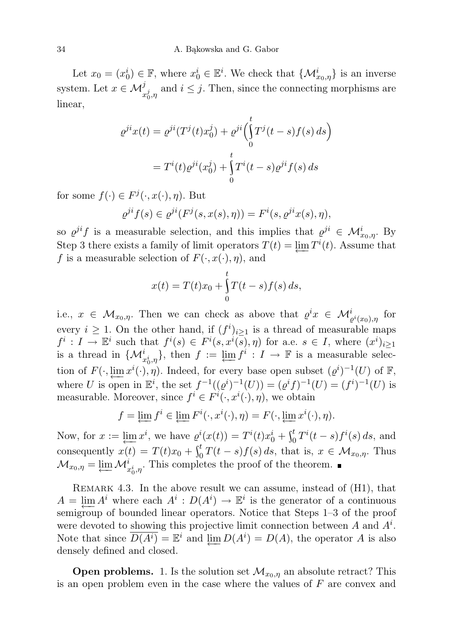Let  $x_0 = (x_0^i) \in \mathbb{F}$ , where  $x_0^i \in \mathbb{E}^i$ . We check that  $\{\mathcal{M}_{x_0,\eta}^i\}$  is an inverse system. Let  $x \in \mathcal{M}_{x_0^j, \eta}^j$  and  $i \leq j$ . Then, since the connecting morphisms are linear,

$$
\varrho^{ji}x(t) = \varrho^{ji}(T^j(t)x_0^j) + \varrho^{ji}\left(\int_0^t T^j(t-s)f(s) ds\right)
$$

$$
= T^i(t)\varrho^{ji}(x_0^j) + \int_0^t T^i(t-s)\varrho^{ji}f(s) ds
$$

for some  $f(\cdot) \in F^j(\cdot, x(\cdot), \eta)$ . But

$$
\varrho^{ji} f(s) \in \varrho^{ji}(F^j(s, x(s), \eta)) = F^i(s, \varrho^{ji} x(s), \eta),
$$

so  $\varrho^{ji}f$  is a measurable selection, and this implies that  $\varrho^{ji} \in \mathcal{M}_{x_0,\eta}^i$ . By Step 3 there exists a family of limit operators  $T(t) = \varprojlim T^{i}(t)$ . Assume that f is a measurable selection of  $F(\cdot, x(\cdot), \eta)$ , and

$$
x(t) = T(t)x_0 + \int_{0}^{t} T(t - s) f(s) \, ds,
$$

i.e.,  $x \in \mathcal{M}_{x_0,\eta}$ . Then we can check as above that  $\varrho^i x \in \mathcal{M}_{\varrho^i(x_0),\eta}^i$  for every  $i \geq 1$ . On the other hand, if  $(f^i)_{i \geq 1}$  is a thread of measurable maps  $f^i: I \to \mathbb{E}^i$  such that  $f^i(s) \in F^i(s, x^i(s), \eta)$  for a.e.  $s \in I$ , where  $(x^i)_{i \geq 1}$ is a thread in  $\{\mathcal{M}^i_{x_0^i,\eta}\},\$  then  $f := \varprojlim f^i : I \to \mathbb{F}$  is a measurable selection of  $F(\cdot, \underleftarrow{\lim}_{x_i} x^i(\cdot), \eta)$ . Indeed, for every base open subset  $(\varrho^i)^{-1}(U)$  of  $\mathbb{F}$ , where U is open in  $\mathbb{E}^i$ , the set  $f^{-1}((\varrho^i)^{-1}(U)) = (\varrho^i f)^{-1}(U) = (f^i)^{-1}(U)$  is measurable. Moreover, since  $f^i \in F^i(\cdot, x^i(\cdot), \eta)$ , we obtain

$$
f = \underleftarrow{\lim} f^i \in \underleftarrow{\lim} F^i(\cdot, x^i(\cdot), \eta) = F(\cdot, \underleftarrow{\lim} x^i(\cdot), \eta).
$$

Now, for  $x := \lim_{t \to \infty} x^i$ , we have  $\varrho^i(x(t)) = T^i(t)x_0^i + \int_0^t T^i(t-s)f^i(s) ds$ , and consequently  $x(t) = T(t)x_0 + \int_0^t T(t-s)f(s) ds$ , that is,  $x \in \mathcal{M}_{x_0,\eta}$ . Thus  $\mathcal{M}_{x_0,\eta} = \varprojlim \mathcal{M}_{x_0^i,\eta}^i$ . This completes the proof of the theorem.

REMARK 4.3. In the above result we can assume, instead of  $(H1)$ , that  $A = \varprojlim A^i$  where each  $A^i : D(A^i) \to \mathbb{E}^i$  is the generator of a continuous semigroup of bounded linear operators. Notice that Steps 1–3 of the proof were devoted to showing this projective limit connection between  $A$  and  $A<sup>i</sup>$ . Note that since  $\overline{D(A^i)} = \mathbb{E}^i$  and  $\varprojlim_{i} D(A^i) = D(A)$ , the operator A is also densely defined and closed.

**Open problems.** 1. Is the solution set  $\mathcal{M}_{x_0,\eta}$  an absolute retract? This is an open problem even in the case where the values of F are convex and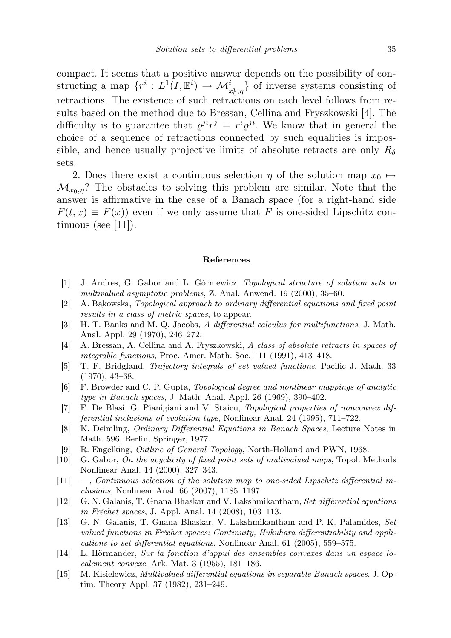compact. It seems that a positive answer depends on the possibility of constructing a map  $\{r^i: L^1(I, \mathbb{E}^i) \to \mathcal{M}_{x_0^i, \eta}^i\}$  of inverse systems consisting of retractions. The existence of such retractions on each level follows from results based on the method due to Bressan, Cellina and Fryszkowski [4]. The difficulty is to guarantee that  $\varrho^{ji}r^j = r^i \varrho^{ji}$ . We know that in general the choice of a sequence of retractions connected by such equalities is impossible, and hence usually projective limits of absolute retracts are only  $R_\delta$ sets.

2. Does there exist a continuous selection  $\eta$  of the solution map  $x_0 \mapsto$  $\mathcal{M}_{x_0,\eta}$ ? The obstacles to solving this problem are similar. Note that the answer is affirmative in the case of a Banach space (for a right-hand side  $F(t, x) \equiv F(x)$  even if we only assume that F is one-sided Lipschitz continuous (see  $|11|$ ).

## References

- [1] J. Andres, G. Gabor and L. Górniewicz, Topological structure of solution sets to multivalued asymptotic problems, Z. Anal. Anwend. 19 (2000), 35–60.
- [2] A. Bąkowska, Topological approach to ordinary differential equations and fixed point results in a class of metric spaces, to appear.
- [3] H. T. Banks and M. Q. Jacobs, A differential calculus for multifunctions, J. Math. Anal. Appl. 29 (1970), 246–272.
- [4] A. Bressan, A. Cellina and A. Fryszkowski, A class of absolute retracts in spaces of integrable functions, Proc. Amer. Math. Soc. 111 (1991), 413–418.
- [5] T. F. Bridgland, Trajectory integrals of set valued functions, Pacific J. Math. 33 (1970), 43–68.
- [6] F. Browder and C. P. Gupta, Topological degree and nonlinear mappings of analytic type in Banach spaces, J. Math. Anal. Appl. 26 (1969), 390–402.
- [7] F. De Blasi, G. Pianigiani and V. Staicu, Topological properties of nonconvex differential inclusions of evolution type, Nonlinear Anal. 24 (1995), 711–722.
- [8] K. Deimling, Ordinary Differential Equations in Banach Spaces, Lecture Notes in Math. 596, Berlin, Springer, 1977.
- [9] R. Engelking, Outline of General Topology, North-Holland and PWN, 1968.
- [10] G. Gabor, On the acyclicity of fixed point sets of multivalued maps, Topol. Methods Nonlinear Anal. 14 (2000), 327–343.
- [11] —, Continuous selection of the solution map to one-sided Lipschitz differential inclusions, Nonlinear Anal. 66 (2007), 1185–1197.
- [12] G. N. Galanis, T. Gnana Bhaskar and V. Lakshmikantham, Set differential equations in Fréchet spaces, J. Appl. Anal. 14 (2008), 103–113.
- [13] G. N. Galanis, T. Gnana Bhaskar, V. Lakshmikantham and P. K. Palamides, Set valued functions in Fréchet spaces: Continuity, Hukuhara differentiability and applications to set differential equations, Nonlinear Anal. 61 (2005), 559–575.
- [14] L. Hörmander, Sur la fonction d'appui des ensembles convexes dans un espace localement convexe, Ark. Mat. 3 (1955), 181–186.
- [15] M. Kisielewicz, Multivalued differential equations in separable Banach spaces, J. Optim. Theory Appl. 37 (1982), 231–249.